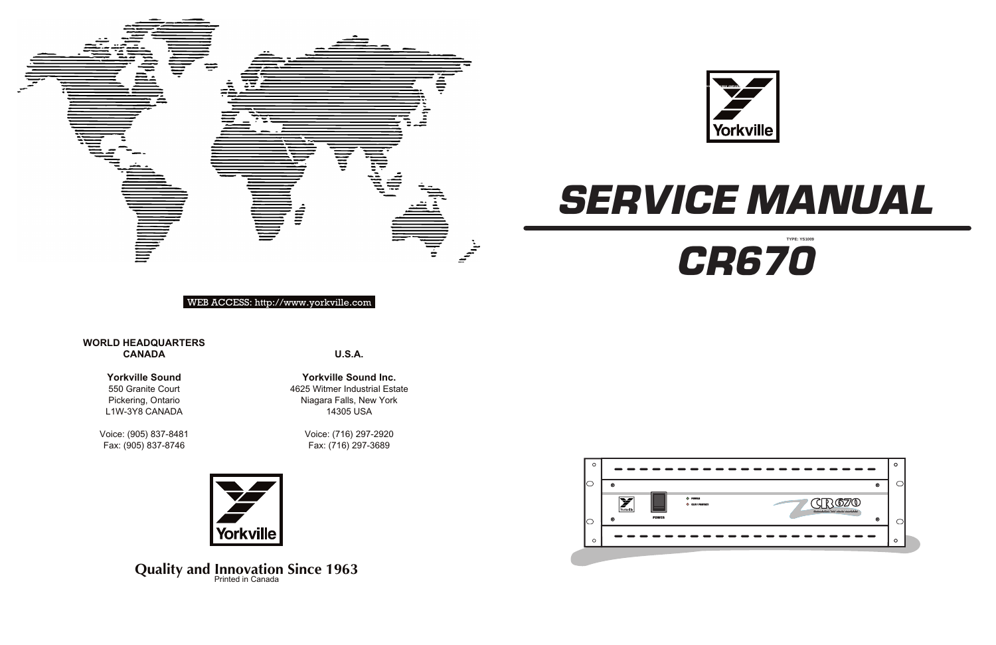

**U.S.A.**

**Yorkville Sound Inc.** 4625 Witmer Industrial Estate Niagara Falls, New York 14305 USA

> Voice: (716) 297-2920 Fax: (716) 297-3689



**Quality and Innovation Since 1963** 

# **WORLD HEADQUARTERS CANADA**





# WEB ACCESS: http://www.yorkville.com

# **Yorkville Sound**

550 Granite Court Pickering, Ontario L1W-3Y8 CANADA

Voice: (905) 837-8481 Fax: (905) 837-8746







**TYPE: YS1009**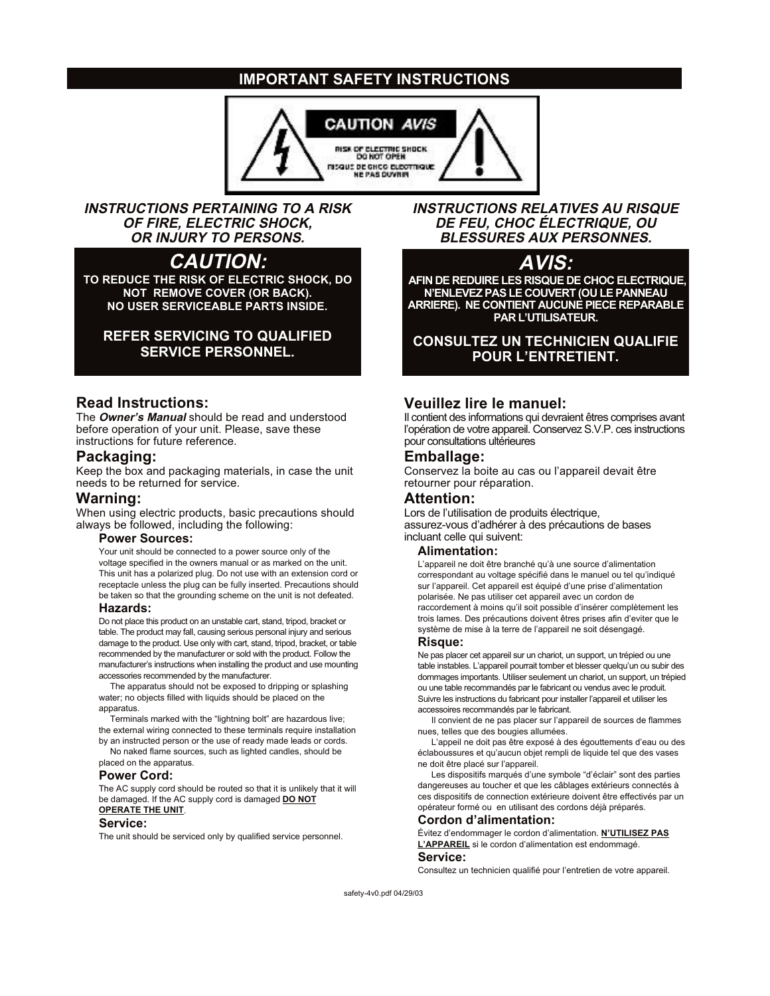# **IMPORTANT SAFETY INSTRUCTIONS**



**INSTRUCTIONS PERTAINING TO A RISK OF FIRE, ELECTRIC SHOCK, OR INJURY TO PERSONS.**

# **CAUTION:**

**TO REDUCE THE RISK OF ELECTRIC SHOCK, DO NOT REMOVE COVER (OR BACK). NO USER SERVICEABLE PARTS INSIDE.**

# **REFER SERVICING TO QUALIFIED SERVICE PERSONNEL.**

# **Read Instructions:**

The **Owner's Manual** should be read and understood before operation of your unit. Please, save these instructions for future reference.

## **Packaging:**

Keep the box and packaging materials, in case the unit needs to be returned for service.

### **Warning:**

When using electric products, basic precautions should always be followed, including the following:

#### **Power Sources:**

Your unit should be connected to a power source only of the voltage specified in the owners manual or as marked on the unit. This unit has a polarized plug. Do not use with an extension cord or receptacle unless the plug can be fully inserted. Precautions should be taken so that the grounding scheme on the unit is not defeated.

### **Hazards:**

Do not place this product on an unstable cart, stand, tripod, bracket or table. The product may fall, causing serious personal injury and serious damage to the product. Use only with cart, stand, tripod, bracket, or table recommended by the manufacturer or sold with the product. Follow the manufacturer's instructions when installing the product and use mounting accessories recommended by the manufacturer.

The apparatus should not be exposed to dripping or splashing water; no objects filled with liquids should be placed on the apparatus.

Terminals marked with the "lightning bolt" are hazardous live; the external wiring connected to these terminals require installation by an instructed person or the use of ready made leads or cords. No naked flame sources, such as lighted candles, should be

placed on the apparatus.

## **Power Cord:**

The AC supply cord should be routed so that it is unlikely that it will be damaged. If the AC supply cord is damaged **DO NOT OPERATE THE UNIT**.

#### **Service:**

The unit should be serviced only by qualified service personnel.

**INSTRUCTIONS RELATIVES AU RISQUE DE FEU, CHOC ÉLECTRIQUE, OU BLESSURES AUX PERSONNES.**

# **AVIS:**

**AFIN DE REDUIRE LES RISQUE DE CHOC ELECTRIQUE, N'ENLEVEZ PAS LE COUVERT (OU LE PANNEAU ARRIERE). NE CONTIENT AUCUNE PIECE REPARABLE PAR L'UTILISATEUR.**

**CONSULTEZ UN TECHNICIEN QUALIFIE POUR L'ENTRETIENT.**

# **Veuillez lire le manuel:**

Il contient des informations qui devraient êtres comprises avant l'opération de votre appareil. Conservez S.V.P. ces instructions pour consultations ultérieures

### **Emballage:**

Conservez la boite au cas ou l'appareil devait être retourner pour réparation.

# **Attention:**

Lors de l'utilisation de produits électrique, assurez-vous d'adhérer à des précautions de bases incluant celle qui suivent:

#### **Alimentation:**

L'appareil ne doit être branché qu'à une source d'alimentation correspondant au voltage spécifié dans le manuel ou tel qu'indiqué sur l'appareil. Cet appareil est équipé d'une prise d'alimentation polarisée. Ne pas utiliser cet appareil avec un cordon de raccordement à moins qu'il soit possible d'insérer complètement les trois lames. Des précautions doivent êtres prises afin d'eviter que le système de mise à la terre de l'appareil ne soit désengagé.

### **Risque:**

Ne pas placer cet appareil sur un chariot, un support, un trépied ou une table instables. L'appareil pourrait tomber et blesser quelqu'un ou subir des dommages importants. Utiliser seulement un chariot, un support, un trépied ou une table recommandés par le fabricant ou vendus avec le produit. Suivre les instructions du fabricant pour installer l'appareil et utiliser les accessoires recommandés par le fabricant.

Il convient de ne pas placer sur l'appareil de sources de flammes nues, telles que des bougies allumées.

L'appeil ne doit pas être exposé à des égouttements d'eau ou des éclaboussures et qu'aucun objet rempli de liquide tel que des vases ne doit être placé sur l'appareil.

Les dispositifs marqués d'une symbole "d'éclair" sont des parties dangereuses au toucher et que les câblages extérieurs connectés à ces dispositifs de connection extérieure doivent être effectivés par un opérateur formé ou en utilisant des cordons déjà préparés.

#### **Cordon d'alimentation:**

Évitez d'endommager le cordon d'alimentation. **N'UTILISEZ PAS L'APPAREIL** si le cordon d'alimentation est endommagé. **Service:**

Consultez un technicien qualifié pour l'entretien de votre appareil.

safety-4v0.pdf 04/29/03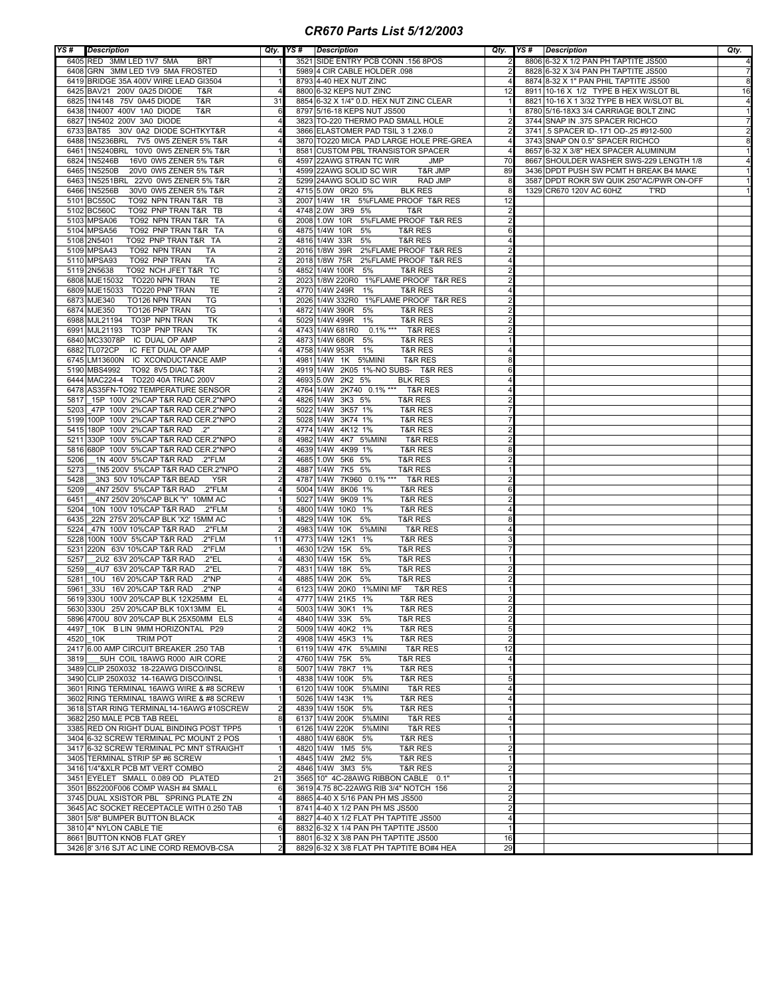## *CR670 Parts List 5/12/2003*

| YS#          | Description                                                                    |                | Qty. YS# Description                                                             | Qty. YS#       | <b>Description</b>                                                                | Qty.                           |
|--------------|--------------------------------------------------------------------------------|----------------|----------------------------------------------------------------------------------|----------------|-----------------------------------------------------------------------------------|--------------------------------|
|              | 6405 RED 3MM LED 1V7 5MA<br><b>BRT</b>                                         |                | 3521 SIDE ENTRY PCB CONN .156 8POS                                               |                | 8806 6-32 X 1/2 PAN PH TAPTITE JS500                                              |                                |
|              | 6408 GRN 3MM LED 1V9 5MA FROSTED                                               |                | 5989 4 CIR CABLE HOLDER .098                                                     |                | 8828 6-32 X 3/4 PAN PH TAPTITE JS500                                              | $\overline{7}$                 |
|              | 6419 BRIDGE 35A 400V WIRE LEAD GI3504                                          |                | 8793 4-40 HEX NUT ZINC                                                           |                | 8874 8-32 X 1" PAN PHIL TAPTITE JS500                                             | 8                              |
|              | 6425 BAV21 200V 0A25 DIODE<br>T&R                                              |                | 8800 6-32 KEPS NUT ZINC                                                          | 12             | 8911 10-16 X 1/2 TYPE B HEX W/SLOT BL                                             | 16                             |
|              | 6825 1N4148 75V 0A45 DIODE<br>T&R                                              | 31             | 8854 6-32 X 1/4" 0.D. HEX NUT ZINC CLEAR<br>8797 5/16-18 KEPS NUT JS500          |                | 8821 10-16 X 1 3/32 TYPE B HEX W/SLOT BL<br>8780 5/16-18X3 3/4 CARRIAGE BOLT ZINC | 4                              |
|              | 6438 1N4007 400V 1A0 DIODE<br>T&R<br>6827 1N5402 200V 3A0 DIODE                |                | 3823 TO-220 THERMO PAD SMALL HOLE                                                |                | 3744 SNAP IN .375 SPACER RICHCO                                                   | $\mathbf{1}$<br>$\overline{7}$ |
|              | 6733 BAT85 30V 0A2 DIODE SCHTKYT&R                                             |                | 3866 ELASTOMER PAD TSIL 3 1.2X6.0                                                |                | 3741 5 SPACER ID-.171 OD-.25 #912-500                                             | 2                              |
|              | 6488 1N5236BRL 7V5 0W5 ZENER 5% T&R                                            |                | 3870 TO220 MICA PAD LARGE HOLE PRE-GREA                                          |                | 3743 SNAP ON 0.5" SPACER RICHCO                                                   | 8                              |
|              | 6461 1N5240BRL 10V0 0W5 ZENER 5% T&R                                           |                | 8581 CUSTOM PBL TRANSISTOR SPACER                                                |                | 8657 6-32 X 3/8" HEX SPACER ALUMINUM                                              | $\mathbf{1}$                   |
|              | 6824 1N5246B<br>16V0 0W5 ZENER 5% T&R                                          | 6              | 4597 22AWG STRAN TC WIR<br><b>JMP</b>                                            | 70             | 8667 SHOULDER WASHER SWS-229 LENGTH 1/8                                           | $\overline{4}$                 |
|              | 6465 1N5250B<br>20V0 0W5 ZENER 5% T&R                                          |                | 4599 22AWG SOLID SC WIR<br>T&R JMP                                               | 89             | 3436 DPDT PUSH SW PCMT H BREAK B4 MAKE                                            |                                |
|              | 6463 1N5251BRL 22V0 0W5 ZENER 5% T&R                                           |                | 5299 24AWG SOLID SC WIR<br><b>RAD JMP</b>                                        | 8              | 3587 DPDT ROKR SW QUIK 250"AC/PWR ON-OFF                                          |                                |
|              | 6466 1N5256B<br>30V0 0W5 ZENER 5% T&R                                          |                | 4715 5.0W 0R20 5%<br><b>BLK RES</b>                                              |                | 1329 CR670 120V AC 60HZ<br>T'RD                                                   |                                |
|              | 5101 BC550C<br>TO92 NPN TRAN T&R TB                                            |                | 5%FLAME PROOF T&R RES<br>2007 1/4W 1R                                            | 12             |                                                                                   |                                |
|              | TO92 PNP TRAN T&R TB<br>5102 BC560C                                            |                | 4748 2.0W 3R9 5%<br>T&R                                                          |                |                                                                                   |                                |
|              | 5103 MPSA06<br>TO92 NPN TRAN T&R TA                                            |                | 2008 1.0W 10R<br>5%FLAME PROOF T&R RES                                           |                |                                                                                   |                                |
|              | 5104 MPSA56<br>TO92 PNP TRAN T&R TA                                            |                | 5%<br>4875 1/4W 10R<br><b>T&amp;R RES</b>                                        | 6              |                                                                                   |                                |
|              | 5108 2N5401<br>TO92 PNP TRAN T&R TA                                            |                | 4816 1/4W 33R<br>5%<br>T&R RES                                                   |                |                                                                                   |                                |
|              | 5109 MPSA43<br>TO92 NPN TRAN<br>TA                                             |                | 2%FLAME PROOF T&R RES<br>2016 1/8W 39R                                           |                |                                                                                   |                                |
|              | 5110 MPSA93<br>TO92 PNP TRAN<br>TA                                             |                | 2%FLAME PROOF T&R RES<br>2018 1/8W 75R                                           |                |                                                                                   |                                |
|              | TO92 NCH JFET T&R TC<br>5119 2N5638                                            |                | 4852 1/4W 100R<br>5%<br>T&R RES                                                  |                |                                                                                   |                                |
|              | 6808 MJE15032 TO220 NPN TRAN<br>TE                                             |                | 2023 1/8W 220R0 1%FLAME PROOF T&R RES                                            |                |                                                                                   |                                |
|              | 6809 MJE15033 TO220 PNP TRAN<br>TE<br>TO126 NPN TRAN<br>6873 MJE340<br>TG      |                | 4770 1/4W 249R 1%<br><b>T&amp;R RES</b><br>2026 1/4W 332R0 1%FLAME PROOF T&R RES |                |                                                                                   |                                |
|              | 6874 MJE350<br>TO126 PNP TRAN<br>TG                                            |                | 4872 1/4W 390R 5%<br>T&R RES                                                     |                |                                                                                   |                                |
|              | 6988 MJL21194 TO3P NPN TRAN<br>TK                                              |                | 5029 1/4W 499R 1%<br>T&R RES                                                     |                |                                                                                   |                                |
|              | 6991 MJL21193 TO3P PNP TRAN<br>TK                                              |                | 4743 1/4W 681R0 0.1% *** T&R RES                                                 |                |                                                                                   |                                |
|              | 6840 MC33078P IC DUAL OP AMP                                                   |                | 4873 1/4W 680R 5%<br><b>T&amp;R RES</b>                                          |                |                                                                                   |                                |
|              | 6882 TL072CP<br>IC FET DUAL OP AMP                                             |                | 4758 1/4W 953R 1%<br>T&R RES                                                     |                |                                                                                   |                                |
|              | 6745 LM13600N IC XCONDUCTANCE AMP                                              |                | 4981 1/4W 1K 5%MINI<br><b>T&amp;R RES</b>                                        |                |                                                                                   |                                |
|              | 5190 MBS4992<br>TO92 8V5 DIAC T&R                                              |                | 4919 1/4W 2K05 1%-NO SUBS- T&R RES                                               | 6              |                                                                                   |                                |
|              | 6444 MAC224-4 TO220 40A TRIAC 200V                                             |                | 4693 5.0W 2K2 5%<br><b>BLK RES</b>                                               |                |                                                                                   |                                |
|              | 6478 AS35FN-TO92 TEMPERATURE SENSOR                                            |                | 4764 1/4W 2K740 0.1% ***<br>T&R RES                                              |                |                                                                                   |                                |
| 5817         | 15P 100V 2%CAP T&R RAD CER.2"NPO                                               |                | 4826 1/4W 3K3 5%<br><b>T&amp;R RES</b>                                           |                |                                                                                   |                                |
| 5203         | 47P 100V 2%CAP T&R RAD CER.2"NPO                                               |                | 5022 1/4W 3K57 1%<br><b>T&amp;R RES</b>                                          |                |                                                                                   |                                |
|              | 5199 100P 100V 2%CAP T&R RAD CER.2"NPO                                         |                | 5028 1/4W 3K74 1%<br>T&R RES                                                     |                |                                                                                   |                                |
|              | 5415 180P 100V 2%CAP T&R RAD .2"                                               |                | 4774 1/4W 4K12 1%<br><b>T&amp;R RES</b>                                          |                |                                                                                   |                                |
|              | 5211 330P 100V 5%CAP T&R RAD CER.2"NPO                                         | 8              | 4982 1/4W 4K7 5%MINI<br><b>T&amp;R RES</b>                                       |                |                                                                                   |                                |
|              | 5816 680P 100V 5%CAP T&R RAD CER.2"NPO                                         |                | 4639 1/4W 4K99 1%<br>T&R RES                                                     |                |                                                                                   |                                |
| 5206         | 1N 400V 5%CAP T&R RAD .2"FLM                                                   |                | 4685 1.0W 5K6 5%<br>T&R RES                                                      |                |                                                                                   |                                |
| 5273         | 1N5 200V 5%CAP T&R RAD CER.2"NPO                                               |                | 4887 1/4W 7K5 5%<br><b>T&amp;R RES</b>                                           |                |                                                                                   |                                |
| 5428         | 3N3 50V 10%CAP T&R BEAD<br>Y5R                                                 |                | 4787 1/4W<br>7K960 0.1% *** T&R RES                                              |                |                                                                                   |                                |
| 5209         | 4N7 250V 5%CAP T&R RAD .2"FLM                                                  |                | 5004 1/4W 8K06 1%<br>T&R RES                                                     |                |                                                                                   |                                |
| 6451<br>5204 | 4N7 250V 20%CAP BLK 'Y' 10MM AC                                                |                | 5027 1/4W 9K09 1%<br><b>T&amp;R RES</b><br><b>T&amp;R RES</b>                    |                |                                                                                   |                                |
| 6435         | 10N 100V 10%CAP T&R RAD .2"FLM                                                 |                | 4800 1/4W 10K0 1%<br>4829 1/4W 10K 5%<br><b>T&amp;R RES</b>                      |                |                                                                                   |                                |
| 5224         | 22N 275V 20%CAP BLK 'X2' 15MM AC<br>47N 100V 10%CAP T&R RAD<br>.2"FLM          |                | 4983 1/4W 10K<br>5%MINI<br><b>T&amp;R RES</b>                                    |                |                                                                                   |                                |
| 5228         | 100N 100V 5%CAP T&R RAD<br>.2"FLM                                              | 11             | 4773 1/4W 12K1 1%<br><b>T&amp;R RES</b>                                          |                |                                                                                   |                                |
| 5231         | .2"FLM<br>220N 63V 10%CAP T&R RAD                                              |                | 4630 1/2W 15K 5%<br><b>T&amp;R RES</b>                                           |                |                                                                                   |                                |
| 5257         | 2U2 63V 20%CAP T&R RAD<br>.2"EL                                                |                | 4830 1/4W 15K<br>5%<br><b>T&amp;R RES</b>                                        |                |                                                                                   |                                |
| 5259         | 4U7 63V 20%CAP T&R RAD<br>.2"EL                                                |                | 4831 1/4W 18K 5%<br><b>T&amp;R RES</b>                                           |                |                                                                                   |                                |
| 5281         | 10U 16V 20% CAP T&R RAD<br>.2"NP                                               |                | 4885 1/4W 20K<br><b>T&amp;R RES</b><br>5%                                        |                |                                                                                   |                                |
| 5961         | 33U 16V 20% CAP T&R RAD<br>.2"NP                                               |                | 6123 1/4W 20K0 1%MINI MF<br><b>T&amp;R RES</b>                                   |                |                                                                                   |                                |
|              | 5619 330U 100V 20%CAP BLK 12X25MM EL                                           |                | 4777 1/4W 21K5 1%<br><b>T&amp;R RES</b>                                          |                |                                                                                   |                                |
|              | 5630 330U 25V 20%CAP BLK 10X13MM EL                                            |                | 5003 1/4W 30K1 1%<br><b>T&amp;R RES</b>                                          |                |                                                                                   |                                |
|              | 5896 4700U 80V 20%CAP BLK 25X50MM ELS                                          | $\overline{4}$ | 4840 1/4W 33K 5%<br><b>T&amp;R RES</b>                                           | $\mathfrak{p}$ |                                                                                   |                                |
| 4497         | 10K B LIN 9MM HORIZONTAL P29                                                   |                | 5009 1/4W 40K2 1%<br>T&R RES                                                     | 5              |                                                                                   |                                |
|              | <b>TRIM POT</b><br>4520 10K                                                    |                | 4908 1/4W 45K3 1%<br>T&R RES                                                     |                |                                                                                   |                                |
|              | 2417 6.00 AMP CIRCUIT BREAKER .250 TAB                                         |                | 6119 1/4W 47K 5%MINI<br><b>T&amp;R RES</b>                                       | 12             |                                                                                   |                                |
| 3819         | 5UH COIL 18AWG R000 AIR CORE                                                   |                | 4760 1/4W 75K 5%<br><b>T&amp;R RES</b>                                           |                |                                                                                   |                                |
|              | 3489 CLIP 250X032 18-22AWG DISCO/INSL<br>3490 CLIP 250X032 14-16AWG DISCO/INSL |                | 5007 1/4W 78K7 1%<br>T&R RES<br>4838 1/4W 100K 5%<br><b>T&amp;R RES</b>          |                |                                                                                   |                                |
|              | 3601 RING TERMINAL 16AWG WIRE & #8 SCREW                                       |                | 6120 1/4W 100K 5%MINI<br><b>T&amp;R RES</b>                                      |                |                                                                                   |                                |
|              | 3602 RING TERMINAL 18AWG WIRE & #8 SCREW                                       |                | 5026 1/4W 143K 1%<br>T&R RES                                                     |                |                                                                                   |                                |
|              | 3618 STAR RING TERMINAL14-16AWG #10SCREW                                       |                | 4839 1/4W 150K 5%<br><b>T&amp;R RES</b>                                          |                |                                                                                   |                                |
|              | 3682 250 MALE PCB TAB REEL                                                     |                | 6137 1/4W 200K 5%MINI<br><b>T&amp;R RES</b>                                      |                |                                                                                   |                                |
|              | 3385 RED ON RIGHT DUAL BINDING POST TPP5                                       |                | 6126 1/4W 220K 5%MINI<br><b>T&amp;R RES</b>                                      |                |                                                                                   |                                |
|              | 3404 6-32 SCREW TERMINAL PC MOUNT 2 POS                                        |                | 4880 1/4W 680K 5%<br><b>T&amp;R RES</b>                                          |                |                                                                                   |                                |
|              | 3417 6-32 SCREW TERMINAL PC MNT STRAIGHT                                       |                | 4820 1/4W 1M5 5%<br>T&R RES                                                      |                |                                                                                   |                                |
|              | 3405 TERMINAL STRIP 5P #6 SCREW                                                |                | 4845 1/4W 2M2 5%<br>T&R RES                                                      |                |                                                                                   |                                |
|              | 3416 1/4"&XLR PCB MT VERT COMBO                                                |                | 4846 1/4W 3M3 5%<br>T&R RES                                                      |                |                                                                                   |                                |
|              | 3451 EYELET SMALL 0.089 OD PLATED                                              | 21             | 3565 10" 4C-28AWG RIBBON CABLE 0.1"                                              |                |                                                                                   |                                |
|              | 3501 B52200F006 COMP WASH #4 SMALL                                             | 6              | 3619 4.75 8C-22AWG RIB 3/4" NOTCH 156                                            |                |                                                                                   |                                |
|              | 3745 DUAL XSISTOR PBL SPRING PLATE ZN                                          |                | 8865 4-40 X 5/16 PAN PH MS JS500                                                 |                |                                                                                   |                                |
|              | 3645 AC SOCKET RECEPTACLE WITH 0.250 TAB                                       |                | 8741 4-40 X 1/2 PAN PH MS JS500                                                  |                |                                                                                   |                                |
|              | 3801 5/8" BUMPER BUTTON BLACK                                                  |                | 8827 4-40 X 1/2 FLAT PH TAPTITE JS500                                            |                |                                                                                   |                                |
|              | 3810 4" NYLON CABLE TIE<br>8661 BUTTON KNOB FLAT GREY                          |                | 8832 6-32 X 1/4 PAN PH TAPTITE JS500<br>8801 6-32 X 3/8 PAN PH TAPTITE JS500     | 16             |                                                                                   |                                |
|              | 3426 8' 3/16 SJT AC LINE CORD REMOVB-CSA                                       |                | 8829 6-32 X 3/8 FLAT PH TAPTITE BO#4 HEA                                         | 29             |                                                                                   |                                |
|              |                                                                                |                |                                                                                  |                |                                                                                   |                                |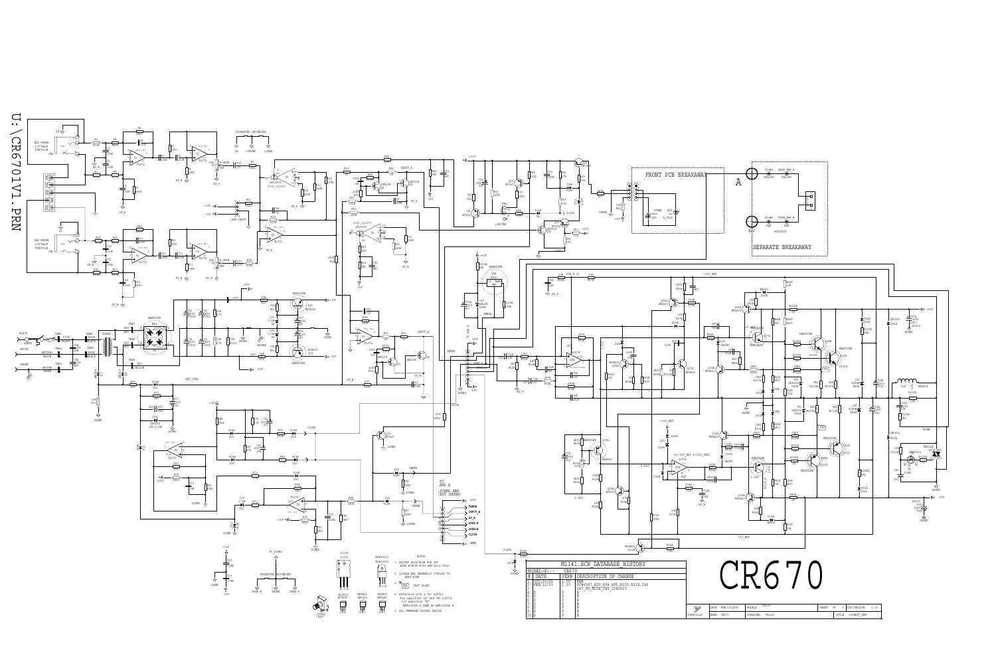

| /2003 | CR670              | SHEE | OF |        | ت ا              |  |
|-------|--------------------|------|----|--------|------------------|--|
|       | M1141<br>PCB#&VER: |      |    | TITLE: | 275WATT AMP<br>- |  |

-69V